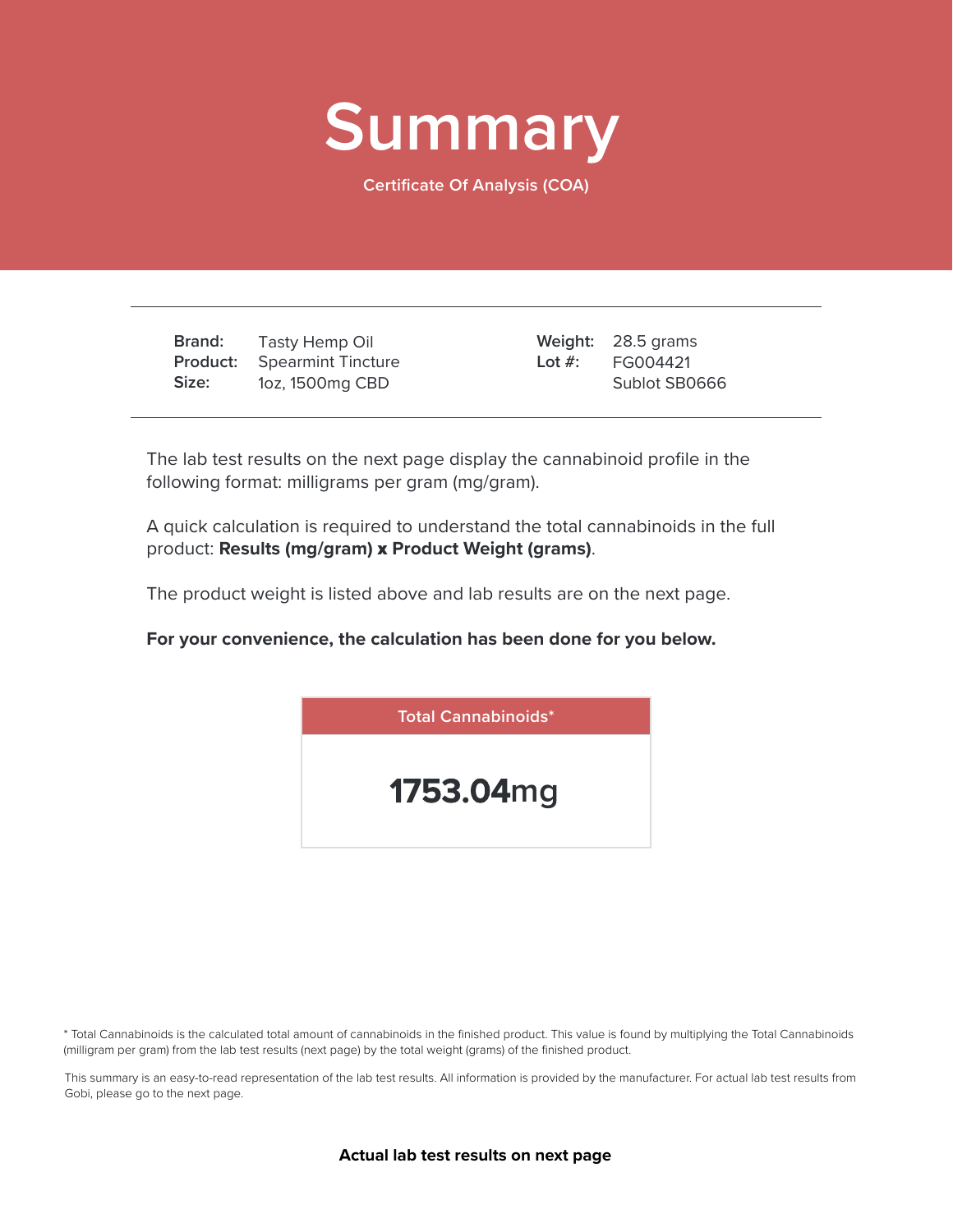

**Certificate Of Analysis (COA)**

**Brand: Product: Size:** Tasty Hemp Oil Spearmint Tincture 1oz, 1500mg CBD

28.5 grams **Weight:** FG004421 Sublot SB0666 **Lot #:**

The lab test results on the next page display the cannabinoid profile in the following format: milligrams per gram (mg/gram).

A quick calculation is required to understand the total cannabinoids in the full product: **Results (mg/gram)** x **Product Weight (grams)**.

The product weight is listed above and lab results are on the next page.

**For your convenience, the calculation has been done for you below.**



\* Total Cannabinoids is the calculated total amount of cannabinoids in the finished product. This value is found by multiplying the Total Cannabinoids (milligram per gram) from the lab test results (next page) by the total weight (grams) of the finished product.

This summary is an easy-to-read representation of the lab test results. All information is provided by the manufacturer. For actual lab test results from Gobi, please go to the next page.